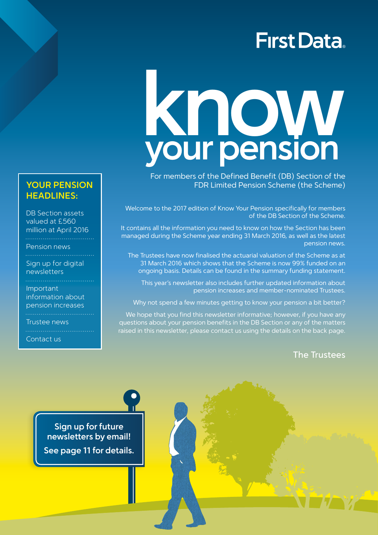## **First Data**

# **know your pension**

For members of the Defined Benefit (DB) Section of the FDR Limited Pension Scheme (the Scheme)

Welcome to the 2017 edition of Know Your Pension specifically for members of the DB Section of the Scheme.

It contains all the information you need to know on how the Section has been managed during the Scheme year ending 31 March 2016, as well as the latest pension news.

The Trustees have now finalised the actuarial valuation of the Scheme as at 31 March 2016 which shows that the Scheme is now 99% funded on an ongoing basis. Details can be found in the summary funding statement.

This year's newsletter also includes further updated information about pension increases and member-nominated Trustees.

Why not spend a few minutes getting to know your pension a bit better?

We hope that you find this newsletter informative; however, if you have any questions about your pension benefits in the DB Section or any of the matters raised in this newsletter, please contact us using the details on the back page.

## The Trustees

**Sign up for future newsletters by email! See page 11 for details.**

## **YOUR PENSION HEADLINES:**

DB Section assets valued at £560 million at April 2016 

Pension news

Sign up for digital newsletters

Important information about pension increases

Trustee news

Contact us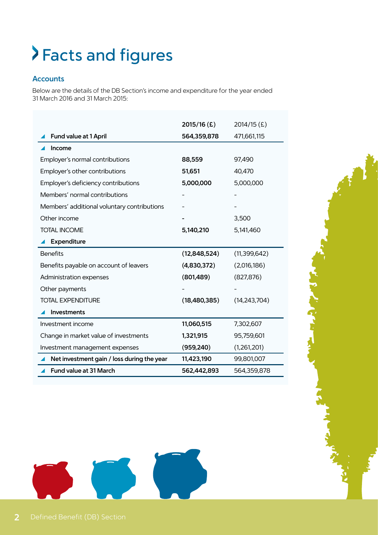# Facts and figures

## **Accounts**

Below are the details of the DB Section's income and expenditure for the year ended 31 March 2016 and 31 March 2015:

|                                             | $2015/16$ (£) | 2014/15(£)     |
|---------------------------------------------|---------------|----------------|
| Fund value at 1 April                       | 564,359,878   | 471,661,115    |
| Income                                      |               |                |
| Employer's normal contributions             | 88,559        | 97,490         |
| Employer's other contributions              | 51,651        | 40,470         |
| Employer's deficiency contributions         | 5,000,000     | 5,000,000      |
| Members' normal contributions               |               |                |
| Members' additional voluntary contributions |               |                |
| Other income                                |               | 3,500          |
| <b>TOTAL INCOME</b>                         | 5,140,210     | 5,141,460      |
| Expenditure                                 |               |                |
| <b>Benefits</b>                             | (12,848,524)  | (11, 399, 642) |
| Benefits payable on account of leavers      | (4,830,372)   | (2,016,186)    |
| Administration expenses                     | (801,489)     | (827, 876)     |
| Other payments                              |               |                |
| <b>TOTAL EXPENDITURE</b>                    | (18,480,385)  | (14, 243, 704) |
| <b>Investments</b>                          |               |                |
| Investment income                           | 11,060,515    | 7,302,607      |
| Change in market value of investments       | 1,321,915     | 95,759,601     |
| Investment management expenses              | (959, 240)    | (1,261,201)    |
| Net investment gain / loss during the year  | 11,423,190    | 99,801,007     |
| Fund value at 31 March                      | 562,442,893   | 564,359,878    |

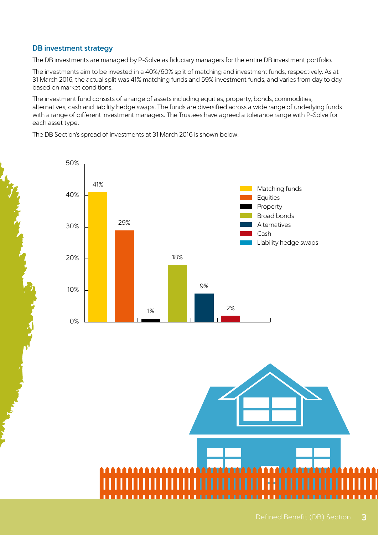## **DB investment strategy**

The DB investments are managed by P-Solve as fiduciary managers for the entire DB investment portfolio.

The investments aim to be invested in a 40%/60% split of matching and investment funds, respectively. As at 31 March 2016, the actual split was 41% matching funds and 59% investment funds, and varies from day to day based on market conditions.

The investment fund consists of a range of assets including equities, property, bonds, commodities, alternatives, cash and liability hedge swaps. The funds are diversified across a wide range of underlying funds with a range of different investment managers. The Trustees have agreed a tolerance range with P-Solve for each asset type.

The DB Section's spread of investments at 31 March 2016 is shown below:



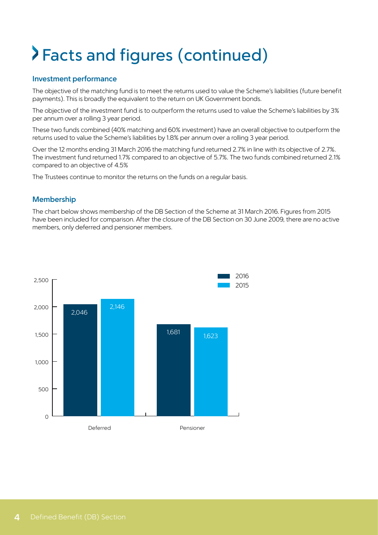# Facts and figures (continued)

## **Investment performance**

The objective of the matching fund is to meet the returns used to value the Scheme's liabilities (future benefit payments). This is broadly the equivalent to the return on UK Government bonds.

The objective of the investment fund is to outperform the returns used to value the Scheme's liabilities by 3% per annum over a rolling 3 year period.

These two funds combined (40% matching and 60% investment) have an overall objective to outperform the returns used to value the Scheme's liabilities by 1.8% per annum over a rolling 3 year period.

Over the 12 months ending 31 March 2016 the matching fund returned 2.7% in line with its objective of 2.7%. The investment fund returned 1.7% compared to an objective of 5.7%. The two funds combined returned 2.1% compared to an objective of 4.5%

The Trustees continue to monitor the returns on the funds on a regular basis.

## **Membership**

The chart below shows membership of the DB Section of the Scheme at 31 March 2016. Figures from 2015 have been included for comparison. After the closure of the DB Section on 30 June 2009, there are no active members, only deferred and pensioner members.

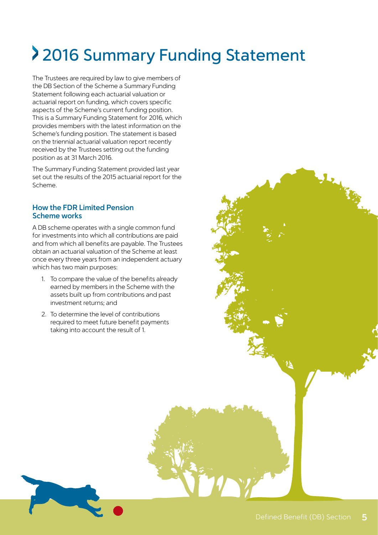# 2016 Summary Funding Statement

The Trustees are required by law to give members of the DB Section of the Scheme a Summary Funding Statement following each actuarial valuation or actuarial report on funding, which covers specific aspects of the Scheme's current funding position. This is a Summary Funding Statement for 2016, which provides members with the latest information on the Scheme's funding position. The statement is based on the triennial actuarial valuation report recently received by the Trustees setting out the funding position as at 31 March 2016.

The Summary Funding Statement provided last year set out the results of the 2015 actuarial report for the Scheme.

## **How the FDR Limited Pension Scheme works**

A DB scheme operates with a single common fund for investments into which all contributions are paid and from which all benefits are payable. The Trustees obtain an actuarial valuation of the Scheme at least once every three years from an independent actuary which has two main purposes:

- 1. To compare the value of the benefits already earned by members in the Scheme with the assets built up from contributions and past investment returns; and
- 2. To determine the level of contributions required to meet future benefit payments taking into account the result of 1.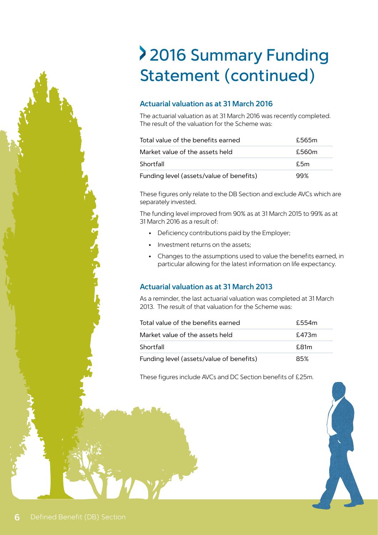## 2016 Summary Funding Statement (continued)

## **Actuarial valuation as at 31 March 2016**

The actuarial valuation as at 31 March 2016 was recently completed. The result of the valuation for the Scheme was:

| Total value of the benefits earned       | £565m |
|------------------------------------------|-------|
| Market value of the assets held          | £560m |
| Shortfall                                | f.5m  |
| Funding level (assets/value of benefits) | 99%   |

These figures only relate to the DB Section and exclude AVCs which are separately invested.

The funding level improved from 90% as at 31 March 2015 to 99% as at 31 March 2016 as a result of:

- Deficiency contributions paid by the Employer;
- Investment returns on the assets:
- Changes to the assumptions used to value the benefits earned, in particular allowing for the latest information on life expectancy.

## **Actuarial valuation as at 31 March 2013**

As a reminder, the last actuarial valuation was completed at 31 March 2013. The result of that valuation for the Scheme was:

| Total value of the benefits earned       | £.554m |
|------------------------------------------|--------|
| Market value of the assets held          | £473m  |
| Shortfall                                | £.81m  |
| Funding level (assets/value of benefits) | 85%    |

These figures include AVCs and DC Section benefits of £25m.

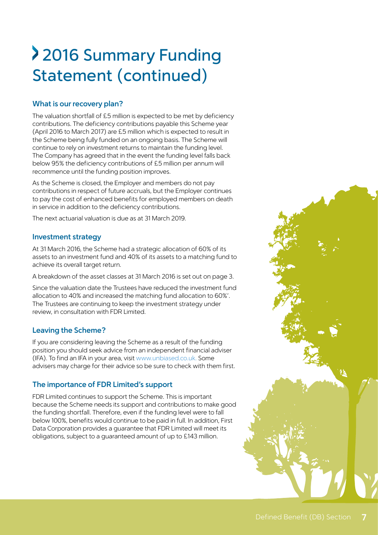## 2016 Summary Funding Statement (continued)

## **What is our recovery plan?**

The valuation shortfall of £5 million is expected to be met by deficiency contributions. The deficiency contributions payable this Scheme year (April 2016 to March 2017) are £5 million which is expected to result in the Scheme being fully funded on an ongoing basis. The Scheme will continue to rely on investment returns to maintain the funding level. The Company has agreed that in the event the funding level falls back below 95% the deficiency contributions of £5 million per annum will recommence until the funding position improves.

As the Scheme is closed, the Employer and members do not pay contributions in respect of future accruals, but the Employer continues to pay the cost of enhanced benefits for employed members on death in service in addition to the deficiency contributions.

The next actuarial valuation is due as at 31 March 2019.

## **Investment strategy**

At 31 March 2016, the Scheme had a strategic allocation of 60% of its assets to an investment fund and 40% of its assets to a matching fund to achieve its overall target return.

A breakdown of the asset classes at 31 March 2016 is set out on page 3.

Since the valuation date the Trustees have reduced the investment fund allocation to 40% and increased the matching fund allocation to 60%'. The Trustees are continuing to keep the investment strategy under review, in consultation with FDR Limited.

## **Leaving the Scheme?**

If you are considering leaving the Scheme as a result of the funding position you should seek advice from an independent financial adviser (IFA). To find an IFA in your area, visit www.unbiased.co.uk. Some advisers may charge for their advice so be sure to check with them first.

## **The importance of FDR Limited's support**

FDR Limited continues to support the Scheme. This is important because the Scheme needs its support and contributions to make good the funding shortfall. Therefore, even if the funding level were to fall below 100%, benefits would continue to be paid in full. In addition, First Data Corporation provides a guarantee that FDR Limited will meet its obligations, subject to a guaranteed amount of up to £143 million.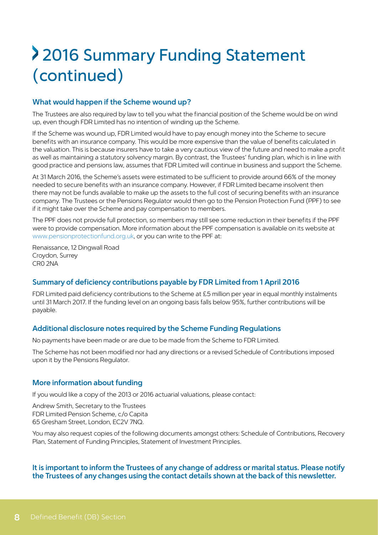## 2016 Summary Funding Statement (continued)

## **What would happen if the Scheme wound up?**

The Trustees are also required by law to tell you what the financial position of the Scheme would be on wind up, even though FDR Limited has no intention of winding up the Scheme.

If the Scheme was wound up, FDR Limited would have to pay enough money into the Scheme to secure benefits with an insurance company. This would be more expensive than the value of benefits calculated in the valuation. This is because insurers have to take a very cautious view of the future and need to make a profit as well as maintaining a statutory solvency margin. By contrast, the Trustees' funding plan, which is in line with good practice and pensions law, assumes that FDR Limited will continue in business and support the Scheme.

At 31 March 2016, the Scheme's assets were estimated to be sufficient to provide around 66% of the money needed to secure benefits with an insurance company. However, if FDR Limited became insolvent then there may not be funds available to make up the assets to the full cost of securing benefits with an insurance company. The Trustees or the Pensions Regulator would then go to the Pension Protection Fund (PPF) to see if it might take over the Scheme and pay compensation to members.

The PPF does not provide full protection, so members may still see some reduction in their benefits if the PPF were to provide compensation. More information about the PPF compensation is available on its website at www.pensionprotectionfund.org.uk, or you can write to the PPF at:

Renaissance, 12 Dingwall Road Croydon, Surrey CR0 2NA

## **Summary of deficiency contributions payable by FDR Limited from 1 April 2016**

FDR Limited paid deficiency contributions to the Scheme at £5 million per year in equal monthly instalments until 31 March 2017. If the funding level on an ongoing basis falls below 95%, further contributions will be payable.

#### **Additional disclosure notes required by the Scheme Funding Regulations**

No payments have been made or are due to be made from the Scheme to FDR Limited.

The Scheme has not been modified nor had any directions or a revised Schedule of Contributions imposed upon it by the Pensions Regulator.

#### **More information about funding**

If you would like a copy of the 2013 or 2016 actuarial valuations, please contact:

Andrew Smith, Secretary to the Trustees FDR Limited Pension Scheme, c/o Capita 65 Gresham Street, London, EC2V 7NQ.

You may also request copies of the following documents amongst others: Schedule of Contributions, Recovery Plan, Statement of Funding Principles, Statement of Investment Principles.

#### **It is important to inform the Trustees of any change of address or marital status. Please notify the Trustees of any changes using the contact details shown at the back of this newsletter.**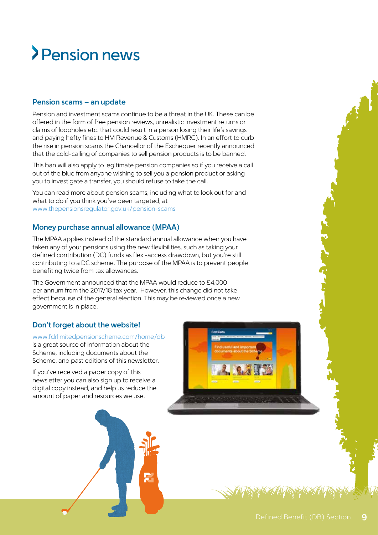## Pension news

## **Pension scams – an update**

Pension and investment scams continue to be a threat in the UK. These can be offered in the form of free pension reviews, unrealistic investment returns or claims of loopholes etc. that could result in a person losing their life's savings and paying hefty fines to HM Revenue & Customs (HMRC). In an effort to curb the rise in pension scams the Chancellor of the Exchequer recently announced that the cold-calling of companies to sell pension products is to be banned.

This ban will also apply to legitimate pension companies so if you receive a call out of the blue from anyone wishing to sell you a pension product or asking you to investigate a transfer, you should refuse to take the call.

You can read more about pension scams, including what to look out for and what to do if you think you've been targeted, at www.thepensionsregulator.gov.uk/pension-scams

## **Money purchase annual allowance (MPAA)**

The MPAA applies instead of the standard annual allowance when you have taken any of your pensions using the new flexibilities, such as taking your defined contribution (DC) funds as flexi-access drawdown, but you're still contributing to a DC scheme. The purpose of the MPAA is to prevent people benefiting twice from tax allowances.

The Government announced that the MPAA would reduce to £4,000 per annum from the 2017/18 tax year. However, this change did not take effect because of the general election. This may be reviewed once a new government is in place.

## **Don't forget about the website!**

www.fdrlimitedpensionscheme.com/home/db is a great source of information about the Scheme, including documents about the Scheme, and past editions of this newsletter.

If you've received a paper copy of this newsletter you can also sign up to receive a digital copy instead, and help us reduce the amount of paper and resources we use.

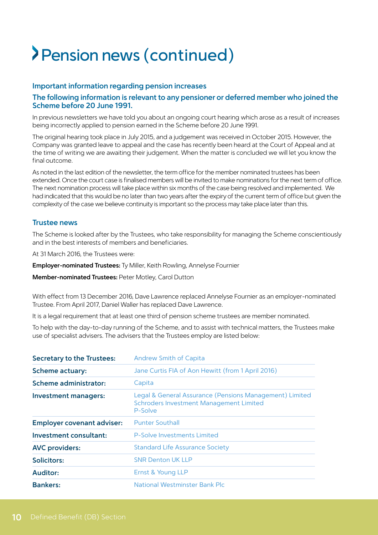## Pension news (continued)

#### **Important information regarding pension increases**

#### **The following information is relevant to any pensioner or deferred member who joined the Scheme before 20 June 1991.**

In previous newsletters we have told you about an ongoing court hearing which arose as a result of increases being incorrectly applied to pension earned in the Scheme before 20 June 1991.

The original hearing took place in July 2015, and a judgement was received in October 2015. However, the Company was granted leave to appeal and the case has recently been heard at the Court of Appeal and at the time of writing we are awaiting their judgement. When the matter is concluded we will let you know the final outcome.

As noted in the last edition of the newsletter, the term office for the member nominated trustees has been extended. Once the court case is finalised members will be invited to make nominations for the next term of office. The next nomination process will take place within six months of the case being resolved and implemented. We had indicated that this would be no later than two years after the expiry of the current term of office but given the complexity of the case we believe continuity is important so the process may take place later than this.

#### **Trustee news**

The Scheme is looked after by the Trustees, who take responsibility for managing the Scheme conscientiously and in the best interests of members and beneficiaries.

At 31 March 2016, the Trustees were:

**Employer-nominated Trustees:** Ty Miller, Keith Rowling, Annelyse Fournier

**Member-nominated Trustees:** Peter Motley, Carol Dutton

With effect from 13 December 2016, Dave Lawrence replaced Annelyse Fournier as an employer-nominated Trustee. From April 2017, Daniel Waller has replaced Dave Lawrence.

It is a legal requirement that at least one third of pension scheme trustees are member nominated.

To help with the day-to-day running of the Scheme, and to assist with technical matters, the Trustees make use of specialist advisers. The advisers that the Trustees employ are listed below:

| <b>Secretary to the Trustees:</b> | <b>Andrew Smith of Capita</b>                                                                                        |
|-----------------------------------|----------------------------------------------------------------------------------------------------------------------|
| <b>Scheme actuary:</b>            | Jane Curtis FIA of Aon Hewitt (from 1 April 2016)                                                                    |
| <b>Scheme administrator:</b>      | Capita                                                                                                               |
| Investment managers:              | Legal & General Assurance (Pensions Management) Limited<br><b>Schroders Investment Management Limited</b><br>P-Solve |
| <b>Employer covenant adviser:</b> | <b>Punter Southall</b>                                                                                               |
| Investment consultant:            | P-Solve Investments Limited                                                                                          |
| <b>AVC</b> providers:             | <b>Standard Life Assurance Society</b>                                                                               |
| Solicitors:                       | <b>SNR Denton UK LLP</b>                                                                                             |
| <b>Auditor:</b>                   | Ernst & Young LLP                                                                                                    |
| <b>Bankers:</b>                   | National Westminster Bank Plc                                                                                        |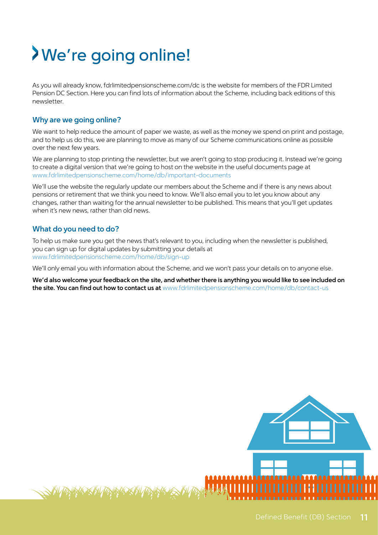# We're going online!

As you will already know, fdrlimitedpensionscheme.com/dc is the website for members of the FDR Limited Pension DC Section. Here you can find lots of information about the Scheme, including back editions of this newsletter.

## **Why are we going online?**

We want to help reduce the amount of paper we waste, as well as the money we spend on print and postage, and to help us do this, we are planning to move as many of our Scheme communications online as possible over the next few years.

We are planning to stop printing the newsletter, but we aren't going to stop producing it. Instead we're going to create a digital version that we're going to host on the website in the useful documents page at www.fdrlimitedpensionscheme.com/home/db/important-documents

We'll use the website the regularly update our members about the Scheme and if there is any news about pensions or retirement that we think you need to know. We'll also email you to let you know about any changes, rather than waiting for the annual newsletter to be published. This means that you'll get updates when it's new news, rather than old news.

## **What do you need to do?**

To help us make sure you get the news that's relevant to you, including when the newsletter is published, you can sign up for digital updates by submitting your details at www.fdrlimitedpensionscheme.com/home/db/sign-up

We'll only email you with information about the Scheme, and we won't pass your details on to anyone else.

**We'd also welcome your feedback on the site, and whether there is anything you would like to see included on the site. You can find out how to contact us at** www.fdrlimitedpensionscheme.com/home/db/contact-us